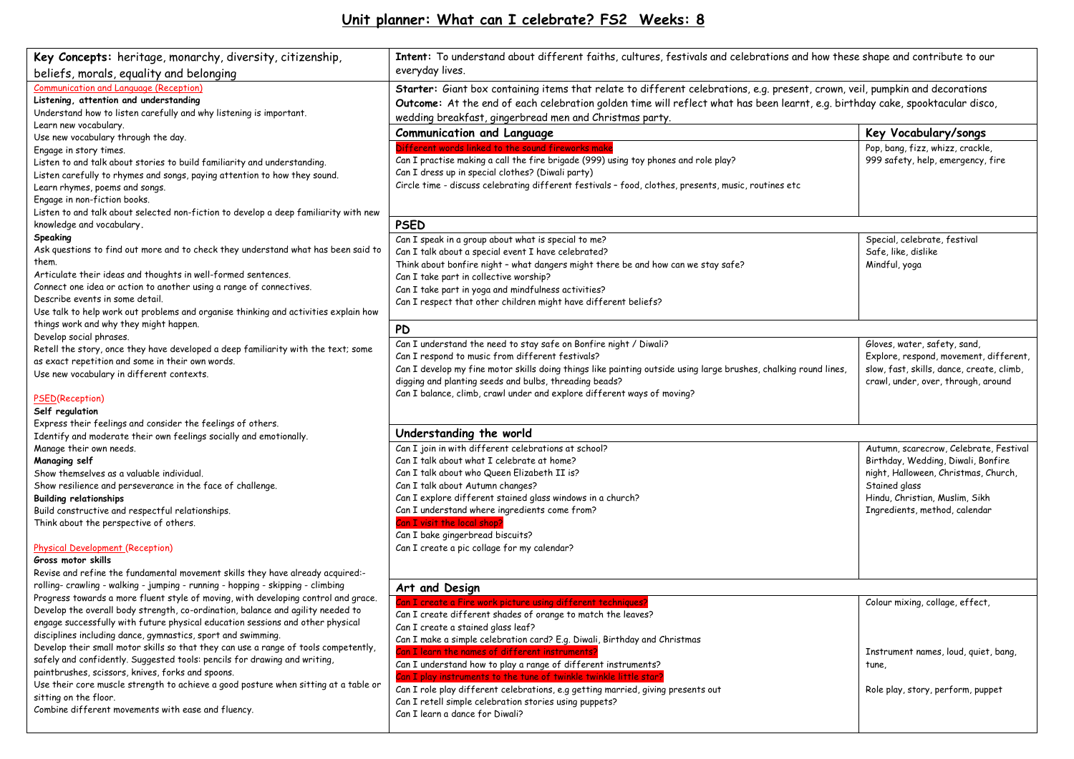## **Unit planner: What can I celebrate? FS2 Weeks: 8**

| Key Concepts: heritage, monarchy, diversity, citizenship,                                                    | Intent: To understand about different faiths, cultures, festivals and celebrations and how these shape and contribute to our   |                                           |  |  |  |
|--------------------------------------------------------------------------------------------------------------|--------------------------------------------------------------------------------------------------------------------------------|-------------------------------------------|--|--|--|
| beliefs, morals, equality and belonging                                                                      | everyday lives.                                                                                                                |                                           |  |  |  |
| <b>Communication and Language (Reception)</b>                                                                | Starter: Giant box containing items that relate to different celebrations, e.g. present, crown, veil, pumpkin and decorations  |                                           |  |  |  |
| Listening, attention and understanding<br>Understand how to listen carefully and why listening is important. | Outcome: At the end of each celebration golden time will reflect what has been learnt, e.g. birthday cake, spooktacular disco, |                                           |  |  |  |
| Learn new vocabulary.                                                                                        | wedding breakfast, gingerbread men and Christmas party.                                                                        |                                           |  |  |  |
| Use new vocabulary through the day.                                                                          | <b>Communication and Language</b>                                                                                              | Key Vocabulary/songs                      |  |  |  |
| Engage in story times.                                                                                       | Different words linked to the sound fireworks make                                                                             | Pop, bang, fizz, whizz, crackle,          |  |  |  |
| Listen to and talk about stories to build familiarity and understanding.                                     | Can I practise making a call the fire brigade (999) using toy phones and role play?                                            | 999 safety, help, emergency, fire         |  |  |  |
| Listen carefully to rhymes and songs, paying attention to how they sound.                                    | Can I dress up in special clothes? (Diwali party)                                                                              |                                           |  |  |  |
| Learn rhymes, poems and songs.                                                                               | Circle time - discuss celebrating different festivals - food, clothes, presents, music, routines etc                           |                                           |  |  |  |
| Engage in non-fiction books.                                                                                 |                                                                                                                                |                                           |  |  |  |
| Listen to and talk about selected non-fiction to develop a deep familiarity with new                         |                                                                                                                                |                                           |  |  |  |
| knowledge and vocabulary.                                                                                    | <b>PSED</b>                                                                                                                    |                                           |  |  |  |
| Speaking                                                                                                     | Can I speak in a group about what is special to me?                                                                            | Special, celebrate, festival              |  |  |  |
| Ask questions to find out more and to check they understand what has been said to                            | Can I talk about a special event I have celebrated?                                                                            | Safe, like, dislike                       |  |  |  |
| them.                                                                                                        | Think about bonfire night - what dangers might there be and how can we stay safe?                                              | Mindful, yoga                             |  |  |  |
| Articulate their ideas and thoughts in well-formed sentences.                                                | Can I take part in collective worship?                                                                                         |                                           |  |  |  |
| Connect one idea or action to another using a range of connectives.                                          | Can I take part in yoga and mindfulness activities?                                                                            |                                           |  |  |  |
| Describe events in some detail.                                                                              | Can I respect that other children might have different beliefs?                                                                |                                           |  |  |  |
| Use talk to help work out problems and organise thinking and activities explain how                          |                                                                                                                                |                                           |  |  |  |
| things work and why they might happen.                                                                       | <b>PD</b>                                                                                                                      |                                           |  |  |  |
| Develop social phrases.                                                                                      | Can I understand the need to stay safe on Bonfire night / Diwali?                                                              | Gloves, water, safety, sand,              |  |  |  |
| Retell the story, once they have developed a deep familiarity with the text; some                            | Can I respond to music from different festivals?                                                                               | Explore, respond, movement, different,    |  |  |  |
| as exact repetition and some in their own words.                                                             | Can I develop my fine motor skills doing things like painting outside using large brushes, chalking round lines,               | slow, fast, skills, dance, create, climb, |  |  |  |
| Use new vocabulary in different contexts.                                                                    | digging and planting seeds and bulbs, threading beads?                                                                         | crawl, under, over, through, around       |  |  |  |
| <b>PSED(Reception)</b>                                                                                       | Can I balance, climb, crawl under and explore different ways of moving?                                                        |                                           |  |  |  |
| Self regulation                                                                                              |                                                                                                                                |                                           |  |  |  |
| Express their feelings and consider the feelings of others.                                                  |                                                                                                                                |                                           |  |  |  |
| Identify and moderate their own feelings socially and emotionally.                                           | Understanding the world                                                                                                        |                                           |  |  |  |
| Manage their own needs.                                                                                      | Can I join in with different celebrations at school?                                                                           | Autumn, scarecrow, Celebrate, Festival    |  |  |  |
| Managing self                                                                                                | Can I talk about what I celebrate at home?                                                                                     | Birthday, Wedding, Diwali, Bonfire        |  |  |  |
| Show themselves as a valuable individual.                                                                    | Can I talk about who Queen Elizabeth II is?                                                                                    | night, Halloween, Christmas, Church,      |  |  |  |
| Show resilience and perseverance in the face of challenge.                                                   | Can I talk about Autumn changes?                                                                                               | Stained glass                             |  |  |  |
| <b>Building relationships</b>                                                                                | Can I explore different stained glass windows in a church?                                                                     | Hindu, Christian, Muslim, Sikh            |  |  |  |
| Build constructive and respectful relationships.                                                             | Can I understand where ingredients come from?                                                                                  | Ingredients, method, calendar             |  |  |  |
| Think about the perspective of others.                                                                       | Can I visit the local shop?                                                                                                    |                                           |  |  |  |
|                                                                                                              | Can I bake gingerbread biscuits?                                                                                               |                                           |  |  |  |
| <b>Physical Development (Reception)</b><br>Gross motor skills                                                | Can I create a pic collage for my calendar?                                                                                    |                                           |  |  |  |
| Revise and refine the fundamental movement skills they have already acquired:-                               |                                                                                                                                |                                           |  |  |  |
| rolling- crawling - walking - jumping - running - hopping - skipping - climbing                              |                                                                                                                                |                                           |  |  |  |
| Progress towards a more fluent style of moving, with developing control and grace.                           | Art and Design                                                                                                                 |                                           |  |  |  |
| Develop the overall body strength, co-ordination, balance and agility needed to                              | Can I create a Fire work picture using different techniques?                                                                   | Colour mixing, collage, effect,           |  |  |  |
| engage successfully with future physical education sessions and other physical                               | Can I create different shades of orange to match the leaves?                                                                   |                                           |  |  |  |
| disciplines including dance, gymnastics, sport and swimming.                                                 | Can I create a stained glass leaf?<br>Can I make a simple celebration card? E.g. Diwali, Birthday and Christmas                |                                           |  |  |  |
| Develop their small motor skills so that they can use a range of tools competently,                          | Can I learn the names of different instruments?                                                                                | Instrument names, loud, quiet, bang,      |  |  |  |
| safely and confidently. Suggested tools: pencils for drawing and writing,                                    | Can I understand how to play a range of different instruments?                                                                 | tune,                                     |  |  |  |
| paintbrushes, scissors, knives, forks and spoons.                                                            | Can I play instruments to the tune of twinkle twinkle little star?                                                             |                                           |  |  |  |
| Use their core muscle strength to achieve a good posture when sitting at a table or                          | Can I role play different celebrations, e.g getting married, giving presents out                                               | Role play, story, perform, puppet         |  |  |  |
| sitting on the floor.                                                                                        | Can I retell simple celebration stories using puppets?                                                                         |                                           |  |  |  |
| Combine different movements with ease and fluency.                                                           | Can I learn a dance for Diwali?                                                                                                |                                           |  |  |  |
|                                                                                                              |                                                                                                                                |                                           |  |  |  |